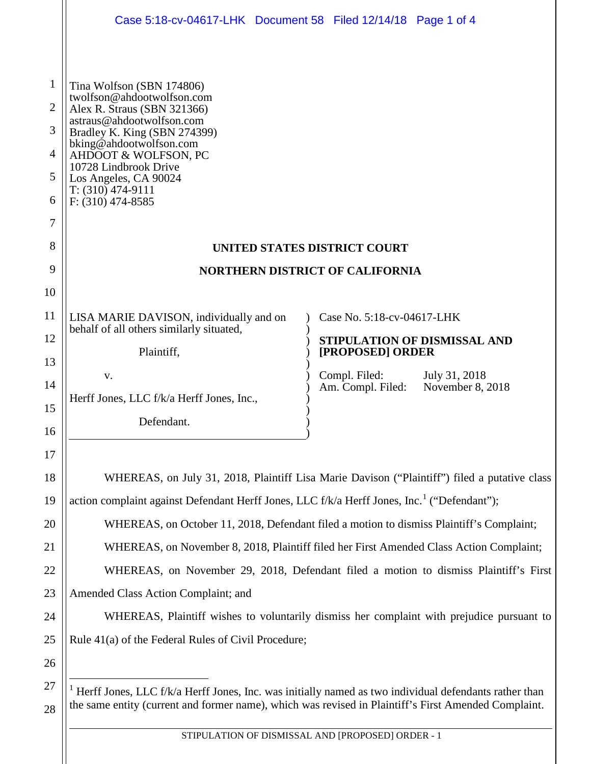<span id="page-0-0"></span>

|                                                         | Case 5:18-cv-04617-LHK Document 58 Filed 12/14/18 Page 1 of 4                                                                                                                                                                                                                                          |                                                    |  |
|---------------------------------------------------------|--------------------------------------------------------------------------------------------------------------------------------------------------------------------------------------------------------------------------------------------------------------------------------------------------------|----------------------------------------------------|--|
| $\mathbf{1}$<br>2<br>3<br>$\overline{4}$<br>5<br>6<br>7 | Tina Wolfson (SBN 174806)<br>twolfson@ahdootwolfson.com<br>Alex R. Straus (SBN 321366)<br>astraus@ahdootwolfson.com<br>Bradley K. King (SBN 274399)<br>bking@ahdootwolfson.com<br>AHDOOT & WOLFSON, PC<br>10728 Lindbrook Drive<br>Los Angeles, CA 90024<br>$T: (310)$ 474-9111<br>$F: (310)$ 474-8585 |                                                    |  |
| 8                                                       | <b>UNITED STATES DISTRICT COURT</b>                                                                                                                                                                                                                                                                    |                                                    |  |
| 9                                                       | <b>NORTHERN DISTRICT OF CALIFORNIA</b>                                                                                                                                                                                                                                                                 |                                                    |  |
| 10                                                      |                                                                                                                                                                                                                                                                                                        |                                                    |  |
| 11                                                      | LISA MARIE DAVISON, individually and on                                                                                                                                                                                                                                                                | Case No. 5:18-cv-04617-LHK                         |  |
| 12                                                      | behalf of all others similarly situated,                                                                                                                                                                                                                                                               | STIPULATION OF DISMISSAL AND                       |  |
| 13                                                      | Plaintiff,                                                                                                                                                                                                                                                                                             | [PROPOSED] ORDER<br>Compl. Filed:<br>July 31, 2018 |  |
| 14                                                      | V.<br>Herff Jones, LLC f/k/a Herff Jones, Inc.,                                                                                                                                                                                                                                                        | November 8, 2018<br>Am. Compl. Filed:              |  |
| 15                                                      | Defendant.                                                                                                                                                                                                                                                                                             |                                                    |  |
| 16                                                      |                                                                                                                                                                                                                                                                                                        |                                                    |  |
| 17                                                      |                                                                                                                                                                                                                                                                                                        |                                                    |  |
| 18                                                      | WHEREAS, on July 31, 2018, Plaintiff Lisa Marie Davison ("Plaintiff") filed a putative class                                                                                                                                                                                                           |                                                    |  |
| 19                                                      | action complaint against Defendant Herff Jones, LLC f/k/a Herff Jones, Inc. <sup>1</sup> ("Defendant");                                                                                                                                                                                                |                                                    |  |
| 20                                                      | WHEREAS, on October 11, 2018, Defendant filed a motion to dismiss Plaintiff's Complaint;                                                                                                                                                                                                               |                                                    |  |
| 21                                                      | WHEREAS, on November 8, 2018, Plaintiff filed her First Amended Class Action Complaint;                                                                                                                                                                                                                |                                                    |  |
| 22                                                      | WHEREAS, on November 29, 2018, Defendant filed a motion to dismiss Plaintiff's First                                                                                                                                                                                                                   |                                                    |  |
| 23                                                      | Amended Class Action Complaint; and                                                                                                                                                                                                                                                                    |                                                    |  |
| 24                                                      | WHEREAS, Plaintiff wishes to voluntarily dismiss her complaint with prejudice pursuant to                                                                                                                                                                                                              |                                                    |  |
| 25                                                      | Rule 41(a) of the Federal Rules of Civil Procedure;                                                                                                                                                                                                                                                    |                                                    |  |
| 26                                                      |                                                                                                                                                                                                                                                                                                        |                                                    |  |
| 27<br>28                                                | Herff Jones, LLC f/k/a Herff Jones, Inc. was initially named as two individual defendants rather than<br>the same entity (current and former name), which was revised in Plaintiff's First Amended Complaint.                                                                                          |                                                    |  |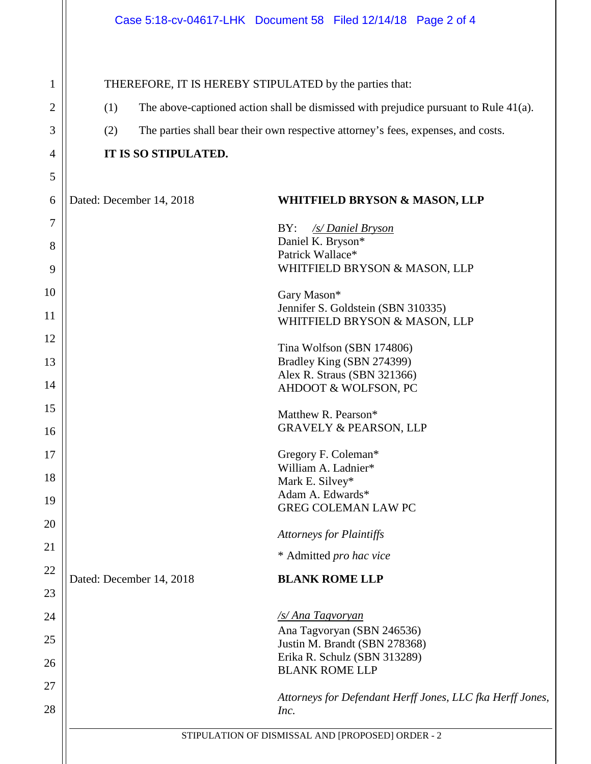1

2

3

4

5

6

7

8

9

10

11

12

13

14

15

16

17

18

19

20

21

22

23

24

25

26

27

28

THEREFORE, IT IS HEREBY STIPULATED by the parties that: (1) The above-captioned action shall be dismissed with prejudice pursuant to Rule 41(a). (2) The parties shall bear their own respective attorney's fees, expenses, and costs. **IT IS SO STIPULATED.** Dated: December 14, 2018 **WHITFIELD BRYSON & MASON, LLP** BY: */s/ Daniel Bryson* Daniel K. Bryson\* Patrick Wallace\* WHITFIELD BRYSON & MASON, LLP Gary Mason\* Jennifer S. Goldstein (SBN 310335) WHITFIELD BRYSON & MASON, LLP Tina Wolfson (SBN 174806) Bradley King (SBN 274399) Alex R. Straus (SBN 321366) AHDOOT & WOLFSON, PC Matthew R. Pearson\* GRAVELY & PEARSON, LLP Gregory F. Coleman\* William A. Ladnier\* Mark E. Silvey\* Adam A. Edwards\* GREG COLEMAN LAW PC *Attorneys for Plaintiffs* \* Admitted *pro hac vice* Dated: December 14, 2018 **BLANK ROME LLP** */s/ Ana Tagvoryan* Ana Tagvoryan (SBN 246536) Justin M. Brandt (SBN 278368) Erika R. Schulz (SBN 313289) BLANK ROME LLP *Attorneys for Defendant Herff Jones, LLC fka Herff Jones, Inc.*

STIPULATION OF DISMISSAL AND [PROPOSED] ORDER - 2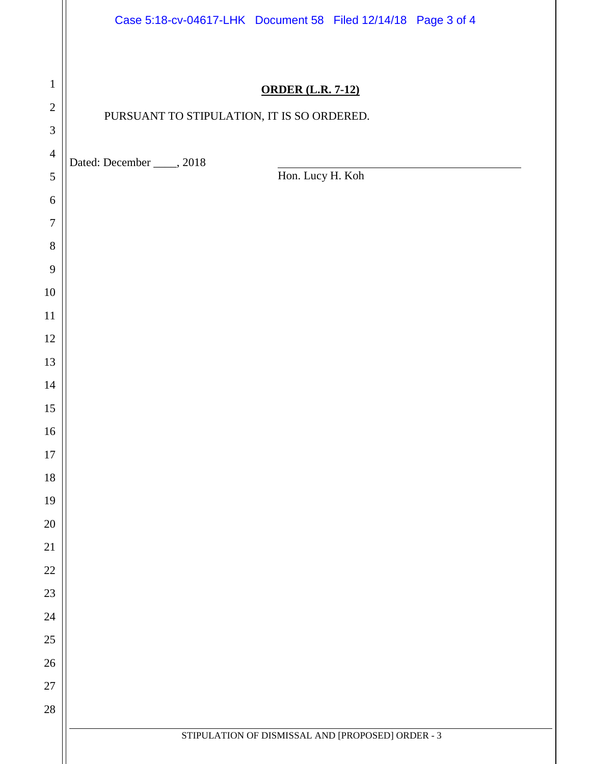|                                | Case 5:18-cv-04617-LHK Document 58 Filed 12/14/18 Page 3 of 4 |  |  |
|--------------------------------|---------------------------------------------------------------|--|--|
| $\mathbf{1}$                   | <b>ORDER (L.R. 7-12)</b>                                      |  |  |
| $\sqrt{2}$                     | PURSUANT TO STIPULATION, IT IS SO ORDERED.                    |  |  |
| $\ensuremath{\mathfrak{Z}}$    |                                                               |  |  |
| $\overline{4}$                 | Dated: December _____, 2018                                   |  |  |
| $\sqrt{5}$                     | Hon. Lucy H. Koh                                              |  |  |
| $\sqrt{6}$<br>$\boldsymbol{7}$ |                                                               |  |  |
| $\,8\,$                        |                                                               |  |  |
| $\overline{9}$                 |                                                               |  |  |
| $10\,$                         |                                                               |  |  |
| 11                             |                                                               |  |  |
| 12                             |                                                               |  |  |
| 13                             |                                                               |  |  |
| 14                             |                                                               |  |  |
| 15                             |                                                               |  |  |
| $16\,$                         |                                                               |  |  |
| 17                             |                                                               |  |  |
| $18\,$<br>19                   |                                                               |  |  |
| $20\,$                         |                                                               |  |  |
| $21\,$                         |                                                               |  |  |
| $22\,$                         |                                                               |  |  |
| $23\,$                         |                                                               |  |  |
| $24\,$                         |                                                               |  |  |
| $25\,$                         |                                                               |  |  |
| $26\,$                         |                                                               |  |  |
| $27\,$                         |                                                               |  |  |
| $28\,$                         |                                                               |  |  |
|                                | STIPULATION OF DISMISSAL AND [PROPOSED] ORDER - 3             |  |  |